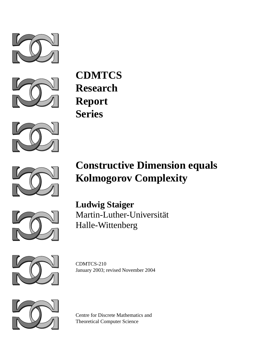



**CDMTCS Research Report Series**



# **Constructive Dimension equals Kolmogorov Complexity**



**Ludwig Staiger** Martin-Luther-Universität Halle-Wittenberg



CDMTCS-210 January 2003; revised November 2004



Centre for Discrete Mathematics and Theoretical Computer Science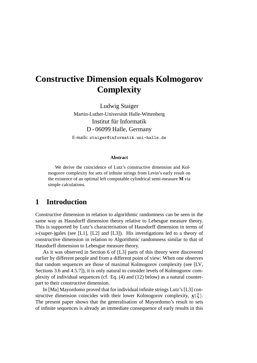## **Constructive Dimension equals Kolmogorov Complexity**

Ludwig Staiger Martin-Luther-Universität Halle-Wittenberg Institut für Informatik D - 06099 Halle, Germany E-mails: staiger@informatik.uni-halle.de

#### **Abstract**

We derive the coincidence of Lutz's constructive dimension and Kolmogorov complexity for sets of infinite strings from Levin's early result on the existence of an optimal left computable cylindrical semi-measure **M** via simple calculations.

## **1 Introduction**

Constructive dimension in relation to algorithmic randomness can be seen in the same way as Hausdorff dimension theory relative to Lebesgue measure theory. This is supported by Lutz's characterisation of Hausdorff dimension in terms of *s*-(super-)gales (see [L1], [L2] and [L3]). His investigations led to a theory of constructive dimension in relation to Algorithmic randomness similar to that of Hausdorff dimension to Lebesgue measure theory.

As it was observed in Section 6 of [L3] parts of this theory were discovered earlier by different people and from a different point of view: When one observes that random sequences are those of maximal Kolmogorov complexity (see [LV, Sections 3.6 and 4.5.7]), it is only natural to consider levels of Kolmogorov complexity of individual sequences (cf. Eq. (4) and (12) below) as a natural counterpart to their constructive dimension.

In [Ma] Mayordomo proved that for individual infinite strings Lutz's [L3] constructive dimension coincides with their lower Kolmogorov complexity,  $\kappa(\xi)$ . The present paper shows that the generalisation of Mayordomo's result to sets of infinite sequences is already an immediate consequence of early results in this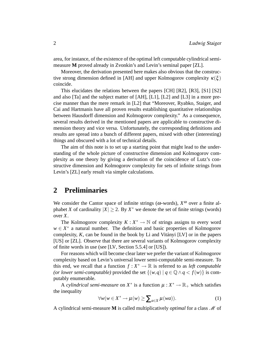area, for instance, of the existence of the optimal left computable cylindrical semimeasure **M** proved already in Zvonkin's and Levin's seminal paper [ZL].

Moreover, the derivation presented here makes also obvious that the constructive strong dimension defined in [AH] and upper Kolmogorov complexity  $\kappa(\xi)$ coincide.

This elucidates the relations between the papers [CH] [R2], [R3], [S1] [S2] and also [Ta] and the subject matter of [AH], [L1], [L2] and [L3] in a more precise manner than the mere remark in [L2] that "Moreover, Ryabko, Staiger, and Cai and Hartmanis have all proven results establishing quantitative relationships between Hausdorff dimension and Kolmogorov complexity." As a consequence, several results derived in the mentioned papers are applicable to constructive dimension theory and vice versa. Unfortunately, the corresponding definitions and results are spread into a bunch of different papers, mixed with other (interesting) things and obscured with a lot of technical details.

The aim of this note is to set up a starting point that might lead to the understanding of the whole picture of constructive dimension and Kolmogorov complexity as one theory by giving a derivation of the coincidence of Lutz's constructive dimension and Kolmogorov complexity for sets of infinite strings from Levin's [ZL] early result via simple calculations.

## **2 Preliminaries**

We consider the Cantor space of infinite strings ( $\omega$ -words),  $X^{\omega}$  over a finite alphabet *X* of cardinality  $|X| \geq 2$ . By  $X^*$  we denote the set of finite strings (words) over *X*.

The Kolmogorov complexity  $K: X^* \to \mathbb{N}$  of strings assigns to every word  $w \in X^*$  a natural number. The definition and basic properties of Kolmogorov complexity,  $K$ , can be found in the book by Li and Vitanyi [LV] or in the papers [US] or [ZL]. Observe that there are several variants of Kolmogorov complexity of finite words in use (see [LV, Section 5.5.4] or [US]).

For reasons which will become clear later we prefer the variant of Kolmogorov complexity based on Levin's universal lower semi-computable semi-measure. To this end, we recall that a function  $f: X^* \to \mathbb{R}$  is referred to as *left computable (or lower semi-computable)* provided the set  $\{(w,q) | q \in \mathbb{Q} \land q < f(w)\}\)$  is computably enumerable.

A *cylindrical semi-measure* on  $X^*$  is a function  $\mu : X^* \to \mathbb{R}_+$  which satisfies the inequality

$$
\forall w(w \in X^* \to \mu(w) \ge \sum_{a \in X} \mu(wa)). \tag{1}
$$

A cylindrical semi-measure **M** is called multiplicatively *optimal* for a class  $\mathcal{M}$  of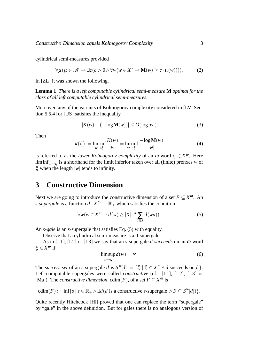cylindrical semi-measures provided

$$
\forall \mu (\mu \in \mathcal{M} \to \exists c (c > 0 \land \forall w (w \in X^* \to \mathbf{M}(w) \geq c \cdot \mu(w))))
$$
 (2)

In [ZL] it was shown the following.

**Lemma 1** *There is a left computable cylindrical semi-measure* **M** *optimal for the class of all left computable cylindrical semi-measures.*

Moreover, any of the variants of Kolmogorov complexity considered in [LV, Section 5.5.4] or [US] satisfies the inequality.

$$
|K(w) - (-\log \mathbf{M}(w))| \le O(\log |w|)
$$
 (3)

Then

$$
\underline{\kappa}(\xi) := \liminf_{w \to \xi} \frac{K(w)}{|w|} = \liminf_{w \to \xi} \frac{-\log M(w)}{|w|}
$$
(4)

is referred to as the *lower Kolmogorov complexity* of an ω-word ξ ∈ *X* <sup>ω</sup>. Here liminf*w*→<sup>ξ</sup> is a shorthand for the limit inferior taken over all (finite) prefixes *w* of ξ when the length |*w*| tends to infinity.

## **3 Constructive Dimension**

Next we are going to introduce the constructive dimension of a set  $F \subseteq X^{\omega}$ . An *s*-supergale is a function  $d: X^{\omega} \to \mathbb{R}_+$  which satisfies the condition

$$
\forall w (w \in X^* \to d(w) \ge |X|^{-s} \sum_{a \in X} d(wa)). \tag{5}
$$

An *s-gale* is an *s*-supergale that satisfies Eq. (5) with equality.

Observe that a cylindrical semi-measure is a 0-supergale.

As in [L1], [L2] or [L3] we say that an *s*-supergale *d succeeds* on an ω-word ξ ∈ *X* <sup>ω</sup> if

$$
\limsup_{w \to \xi} d(w) = \infty. \tag{6}
$$

The *success set* of an *s*-supergale *d* is  $S^{\infty}[d] := {\xi \mid \xi \in X^{\omega} \wedge d}$  succeeds on  $\xi$ . Left computable supergales were called *constructive* (cf. [L1], [L2], [L3] or [Ma]). The *constructive dimension*,  $\text{cdim}(F)$ , of a set  $F \subseteq X^{\omega}$  is

cdim
$$
(F) := \inf \{ s \mid s \in \mathbb{R}_+ \land \exists d(d \text{ is a constructive } s\text{-supergale } \land F \subseteq S^{\infty}[d]) \}.
$$

Quite recently Hitchcock [Hi] proved that one can replace the term "supergale" by "gale" in the above definition. But for gales there is no analogous version of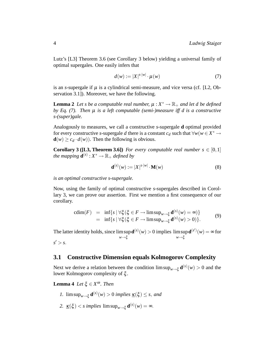Lutz's [L3] Theorem 3.6 (see Corollary 3 below) yielding a universal family of optimal supergales. One easily infers that

$$
d(w) := |X|^{s \cdot |w|} \cdot \mu(w) \tag{7}
$$

is an *s*-supergale if  $\mu$  is a cylindrical semi-measure, and vice versa (cf. [L2, Observation 3.1]). Moreover, we have the following.

**Lemma 2** Let s be a computable real number,  $\mu : X^* \to \mathbb{R}_+$  and let d be defined *by Eq. (7). Then* µ *is a left computable (semi-)measure iff d is a constructive s-(super)gale.*

Analogously to measures, we call a constructive *s*-supergale **d** optimal provided for every constructive *s*-supergale *d* there is a constant *c<sup>d</sup>* such that ∀*w*(*w* ∈ *X* <sup>∗</sup> →  $\mathbf{d}(w) > c_d \cdot d(w)$ . Then the following is obvious.

**Corollary 3 ([L3, Theorem 3.6])** *For every computable real number s*  $\in$  [0,1] *the mapping*  $\mathbf{d}^{(s)}$  :  $X^* \to \mathbb{R}_+$  *defined by* 

$$
\mathbf{d}^{(s)}(w) := |X|^{s \cdot |w|} \cdot \mathbf{M}(w)
$$
 (8)

*is an optimal constructive s-supergale.*

Now, using the family of optimal constructive *s*-supergales described in Corollary 3, we can prove our assertion. First we mention a first consequence of our corollary.

$$
\begin{array}{rcl}\n\text{cdim}(F) & = & \inf\{s \mid \forall \xi (\xi \in F \to \limsup_{w \to \xi} \mathbf{d}^{(s)}(w) = \infty) \} \\
& = & \inf\{s \mid \forall \xi (\xi \in F \to \limsup_{w \to \xi} \mathbf{d}^{(s)}(w) > 0) \}.\n\end{array} \tag{9}
$$

The latter identity holds, since limsup *w*→ξ  $\mathbf{d}^{(s)}(w) > 0$  implies limsup *w*→ξ  $\mathbf{d}^{(s')}(w) = \infty$  for  $s' > s$ .

#### **3.1 Constructive Dimension equals Kolmogorov Complexity**

Next we derive a relation between the condition  $\limsup_{w \to \xi} \mathbf{d}^{(s)}(w) > 0$  and the lower Kolmogorov complexity of ξ .

**Lemma 4** *Let* ξ ∈ *X* <sup>ω</sup>*. Then*

- *1.*  $\limsup_{w \to \xi} \mathbf{d}^{(s)}(w) > 0$  *implies*  $\underline{\kappa}(\xi) \leq s$ , *and*
- 2.  $\underline{\kappa}(\xi) < s$  *implies*  $\limsup_{w \to \xi} \mathbf{d}^{(s)}(w) = \infty$ .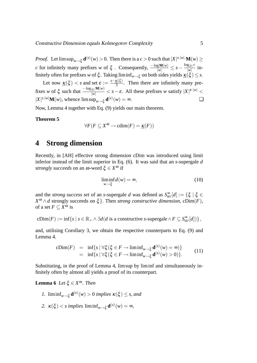*Proof.* Let  $\limsup_{w\to \xi} \mathbf{d}^{(s)}(w) > 0$ . Then there is a  $c > 0$  such that  $|X|^{s\cdot |w|} \mathbf{M}(w) \geq 0$ . *c* for infinitely many prefixes *w* of  $\xi$ . Consequently,  $\frac{-\log M(w)}{|w|} \leq s - \frac{\log_{|X|} c}{|w|}$  $\frac{\varepsilon |X|^2}{|W|}$  infinitely often for prefixes *w* of  $\xi$ . Taking liminf<sub>*w*→ξ</sub> on both sides yields <u> $\kappa(\xi) \leq s$ </u>.

Let now  $\underline{\kappa}(\xi) < s$  and set  $\varepsilon := \frac{s - \underline{\kappa}(\xi)}{3}$  $\frac{\mathbf{A}(S)}{3}$ . Then there are infinitely many prefixes *w* of  $\xi$  such that  $\frac{-\log_{|X|} \mathbf{M}(w)}{|w|} < s - \varepsilon$ . All these prefixes *w* satisfy  $|X|^{|\varepsilon \cdot |w|} <$  $|X|^{s \cdot |w|} \mathbf{M}(w)$ , whence  $\limsup_{w \to \xi} \mathbf{d}^{(s)}(w) = \infty$ .

Now, Lemma 4 together with Eq. (9) yields our main theorem.

#### **Theorem 5**

$$
\forall F(F \subseteq X^{\omega} \to \text{cdim}(F) = \underline{\kappa}(F))
$$

## **4 Strong dimension**

Recently, in [AH] effective strong dimension cDim was introduced using limit inferior instead of the limit superior in Eq. (6). It was said that an *s*-supergale *d strongly succeeds* on an ω-word ξ ∈ *X* <sup>ω</sup> if

$$
\liminf_{w \to \xi} d(w) = \infty, \tag{10}
$$

and the *strong success set* of an *s*-supergale *d* was defined as  $S_{str}^{\infty}[d] := \{\xi \mid \xi \in$  $X^{\omega} \wedge d$  strongly succeeds on  $\xi$ . Then *strong constructive dimension*, cDim(*F*), of a set  $F \subseteq X^{\omega}$  is

$$
cDim(F) := \inf \{ s \mid s \in \mathbb{R}_+ \land \exists d(d \text{ is a constructive } s\text{-supergale} \land F \subseteq S_{str}^{\infty}[d]) \},
$$

and, utilising Corollary 3, we obtain the respective counterparts to Eq. (9) and Lemma 4.

$$
\begin{array}{rcl}\n\text{cDim}(F) & = & \inf\{s \mid \forall \xi (\xi \in F \to \liminf_{w \to \xi} \mathbf{d}^{(s)}(w) = \infty) \} \\
& = & \inf\{s \mid \forall \xi (\xi \in F \to \liminf_{w \to \xi} \mathbf{d}^{(s)}(w) > 0) \}.\n\end{array} \tag{11}
$$

Substituting, in the proof of Lemma 4, limsup by liminf and simultaneously infinitely often by almost all yields a proof of its counterpart.

### **Lemma 6** *Let* ξ ∈  $X^\omega$ *. Then*

- *1.*  $\liminf_{w \to \xi} \mathbf{d}^{(s)}(w) > 0$  *implies*  $\kappa(\xi) \leq s$ , and
- 2.  $\kappa(\xi) < s$  implies  $\liminf_{w \to \xi} \mathbf{d}^{(s)}(w) = \infty$ ,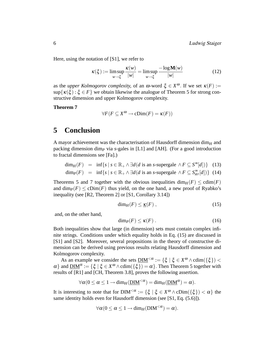Here, using the notation of [S1], we refer to

$$
\kappa(\xi) := \limsup_{w \to \xi} \frac{\kappa(w)}{|w|} = \limsup_{w \to \xi} \frac{-\log \mathbf{M}(w)}{|w|}
$$
(12)

as the *upper Kolmogorov complexity*, of an  $\omega$ -word  $\xi \in X^{\omega}$ . If we set  $\kappa(F) :=$  $\sup\{\kappa(\xi): \xi \in F\}$  we obtain likewise the analogue of Theorem 5 for strong constructive dimension and upper Kolmogorov complexity.

**Theorem 7**

$$
\forall F(F \subseteq X^{\omega} \to \text{cDim}(F) = \kappa(F))
$$

## **5 Conclusion**

A mayor achievement was the characterisation of Hausdorff dimension  $\dim_H$  and packing dimension dim*<sup>P</sup>* via *s*-gales in [L1] and [AH]. (For a good introduction to fractal dimensions see [Fa].)

$$
\dim_H(F) = \inf \{ s \mid s \in \mathbb{R}_+ \land \exists d(d \text{ is an } s\text{-supergale } \land F \subseteq S^{\infty}[d] ) \} \quad (13)
$$
  

$$
\dim_P(F) = \inf \{ s \mid s \in \mathbb{R}_+ \land \exists d(d \text{ is an } s\text{-supergale } \land F \subseteq S^{\infty}_{str}[d] ) \} \quad (14)
$$

Theorems 5 and 7 together with the obvious inequalities  $\dim_H(F) \leq \text{cdim}(F)$ and  $\dim_P(F) \leq cDim(F)$  thus yield, on the one hand, a new proof of Ryabko's inequality (see [R2, Theorem 2] or [S1, Corollary 3.14])

$$
\dim_H(F) \leq \underline{\kappa}(F) \;, \tag{15}
$$

and, on the other hand,

$$
\dim_P(F) \le \kappa(F) \ . \tag{16}
$$

Both inequalities show that large (in dimension) sets must contain complex infinite strings. Conditions under which equality holds in Eq. (15) are discussed in [S1] and [S2]. Moreover, several propositions in the theory of constructive dimension can be derived using previous results relating Hausdorff dimension and Kolmogorov complexity.

As an example we consider the sets  $\underline{DIM}^{<\alpha} := \{ \xi \mid \xi \in X^\omega \wedge \text{cdim}(\{\xi\}) \leq \pi \}$  $\alpha$ } and  $\underline{DIM}^{\alpha} := {\xi | \xi \in X^{\omega} \wedge \text{cdim}(\{\xi\}) = \alpha}.$  Then Theorem 5 together with results of [R1] and [CH, Theorem 3.8], proves the following assertion.

$$
\forall \alpha (0 \leq \alpha \leq 1 \rightarrow \text{dim}_{H}(\underline{\text{DIM}}^{<\alpha}) = \text{dim}_{H}(\underline{\text{DIM}}^{\alpha}) = \alpha).
$$

It is interesting to note that for  $\text{DIM}^{<\alpha} := \{ \xi \mid \xi \in X^\omega \wedge \text{cDim}(\{\xi\}) < \alpha \}$  the same identity holds even for Hausdorff dimension (see [S1, Eq. (5.6)]).

$$
\forall \alpha (0 \leq \alpha \leq 1 \rightarrow \text{dim}_{H}(\text{DIM}^{<\alpha}) = \alpha).
$$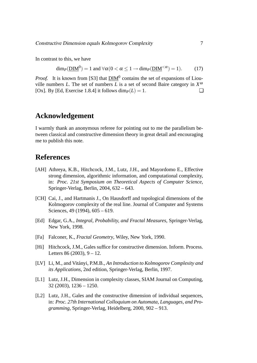In contrast to this, we have

$$
\dim_P(\underline{\text{DIM}}^0) = 1 \text{ and } \forall \alpha (0 < \alpha \le 1 \to \dim_P(\underline{\text{DIM}}^{<\alpha}) = 1). \tag{17}
$$

*Proof.* It is known from [S3] that  $\underline{DIM}^0$  contains the set of expansions of Liouville numbers *L*. The set of numbers *L* is a set of second Baire category in  $X^{\omega}$ [Ox]. By [Ed, Exercise 1.8.4] it follows  $\dim_P(L) = 1$ .

## **Acknowledgement**

I warmly thank an anonymous referee for pointing out to me the parallelism between classical and constructive dimension theory in great detail and encouraging me to publish this note.

## **References**

- [AH] Athreya, K.B., Hitchcock, J.M., Lutz, J.H., and Mayordomo E., Effective strong dimension, algorithmic information, and computational complexity, in: *Proc. 21st Symposium on Theoretical Aspects of Computer Science*, Springer-Verlag, Berlin, 2004, 632 – 643.
- [CH] Cai, J., and Hartmanis J., On Hausdorff and topological dimensions of the Kolmogorov complexity of the real line. Journal of Computer and Systems Sciences, 49 (1994), 605 – 619.
- [Ed] Edgar, G.A., *Integral, Probability, and Fractal Measures*, Springer-Verlag, New York, 1998.
- [Fa] Falconer, K., *Fractal Geometry*, Wiley, New York, 1990.
- [Hi] Hitchcock, J.M., Gales suffice for constructive dimension. Inform. Process. Letters  $86 (2003)$ ,  $9 - 12$ .
- [LV] Li, M., and Vitányi, P.M.B., An Introduction to Kolmogorov Complexity and *its Applications*, 2nd edition, Springer-Verlag, Berlin, 1997.
- [L1] Lutz, J.H., Dimension in complexity classes, SIAM Journal on Computing, 32 (2003), 1236 – 1250.
- [L2] Lutz, J.H., Gales and the constructive dimension of individual sequences, in: *Proc. 27th International Colloquium on Automata, Languages, and Programming*, Springer-Verlag, Heidelberg, 2000, 902 – 913.